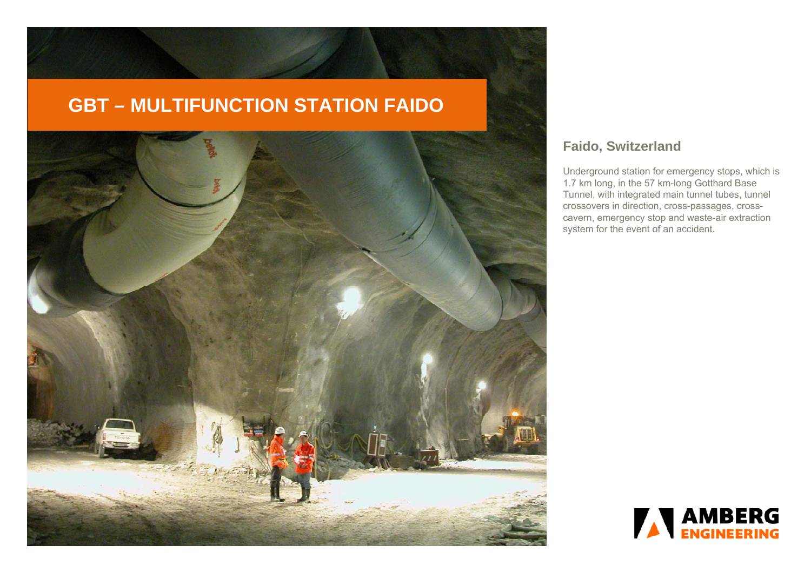# **GBT – MULTIFUNCTION STATION FAIDO**



# **Faido, Switzerland**

Underground station for emergency stops, which is 1.7 km long, in the 57 km-long Gotthard Base Tunnel, with integrated main tunnel tubes, tunnel crossovers in direction, cross-passages, crosscavern, emergency stop and waste-air extraction system for the event of an accident.